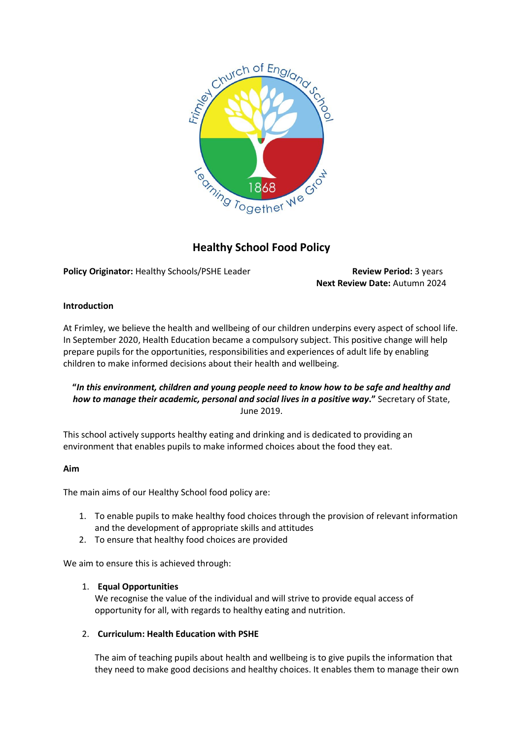

# **Healthy School Food Policy**

**Policy Originator: Healthy Schools/PSHE Leader Review Period: 3 years** 

**Next Review Date:** Autumn 2024

## **Introduction**

At Frimley, we believe the health and wellbeing of our children underpins every aspect of school life. In September 2020, Health Education became a compulsory subject. This positive change will help prepare pupils for the opportunities, responsibilities and experiences of adult life by enabling children to make informed decisions about their health and wellbeing.

## **"***In this environment, children and young people need to know how to be safe and healthy and how to manage their academic, personal and social lives in a positive way***."** Secretary of State, June 2019.

This school actively supports healthy eating and drinking and is dedicated to providing an environment that enables pupils to make informed choices about the food they eat.

## **Aim**

The main aims of our Healthy School food policy are:

- 1. To enable pupils to make healthy food choices through the provision of relevant information and the development of appropriate skills and attitudes
- 2. To ensure that healthy food choices are provided

We aim to ensure this is achieved through:

## 1. **Equal Opportunities**

We recognise the value of the individual and will strive to provide equal access of opportunity for all, with regards to healthy eating and nutrition.

## 2. **Curriculum: Health Education with PSHE**

The aim of teaching pupils about health and wellbeing is to give pupils the information that they need to make good decisions and healthy choices. It enables them to manage their own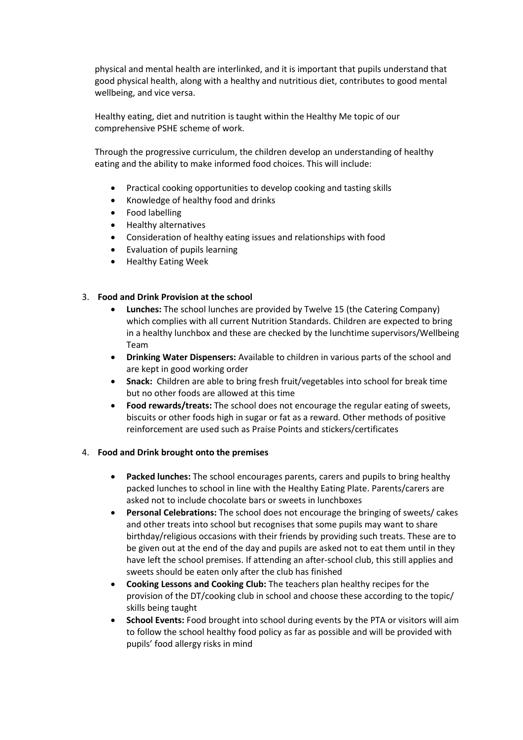physical and mental health are interlinked, and it is important that pupils understand that good physical health, along with a healthy and nutritious diet, contributes to good mental wellbeing, and vice versa.

Healthy eating, diet and nutrition is taught within the Healthy Me topic of our comprehensive PSHE scheme of work.

Through the progressive curriculum, the children develop an understanding of healthy eating and the ability to make informed food choices. This will include:

- Practical cooking opportunities to develop cooking and tasting skills
- Knowledge of healthy food and drinks
- Food labelling
- Healthy alternatives
- Consideration of healthy eating issues and relationships with food
- Evaluation of pupils learning
- Healthy Eating Week

#### 3. **Food and Drink Provision at the school**

- **Lunches:** The school lunches are provided by Twelve 15 (the Catering Company) which complies with all current Nutrition Standards. Children are expected to bring in a healthy lunchbox and these are checked by the lunchtime supervisors/Wellbeing Team
- **Drinking Water Dispensers:** Available to children in various parts of the school and are kept in good working order
- **Snack:** Children are able to bring fresh fruit/vegetables into school for break time but no other foods are allowed at this time
- **Food rewards/treats:** The school does not encourage the regular eating of sweets, biscuits or other foods high in sugar or fat as a reward. Other methods of positive reinforcement are used such as Praise Points and stickers/certificates

#### 4. **Food and Drink brought onto the premises**

- **Packed lunches:** The school encourages parents, carers and pupils to bring healthy packed lunches to school in line with the Healthy Eating Plate. Parents/carers are asked not to include chocolate bars or sweets in lunchboxes
- **Personal Celebrations:** The school does not encourage the bringing of sweets/ cakes and other treats into school but recognises that some pupils may want to share birthday/religious occasions with their friends by providing such treats. These are to be given out at the end of the day and pupils are asked not to eat them until in they have left the school premises. If attending an after-school club, this still applies and sweets should be eaten only after the club has finished
- **Cooking Lessons and Cooking Club:** The teachers plan healthy recipes for the provision of the DT/cooking club in school and choose these according to the topic/ skills being taught
- **School Events:** Food brought into school during events by the PTA or visitors will aim to follow the school healthy food policy as far as possible and will be provided with pupils' food allergy risks in mind